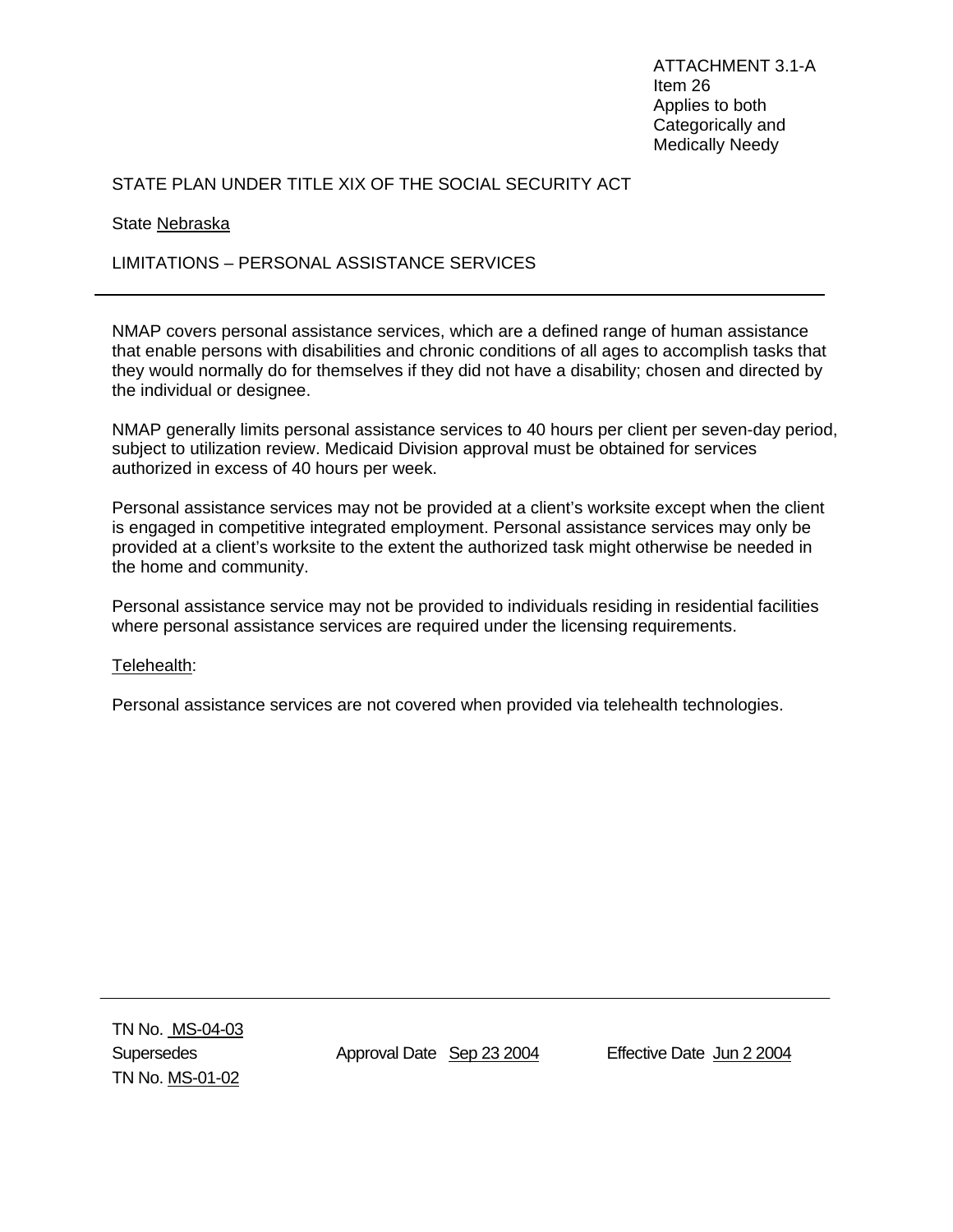ATTACHMENT 3.1-A Item 26 Applies to both Categorically and Medically Needy

# STATE PLAN UNDER TITLE XIX OF THE SOCIAL SECURITY ACT

### State Nebraska

## LIMITATIONS – PERSONAL ASSISTANCE SERVICES

NMAP covers personal assistance services, which are a defined range of human assistance that enable persons with disabilities and chronic conditions of all ages to accomplish tasks that they would normally do for themselves if they did not have a disability; chosen and directed by the individual or designee.

NMAP generally limits personal assistance services to 40 hours per client per seven-day period, subject to utilization review. Medicaid Division approval must be obtained for services authorized in excess of 40 hours per week.

Personal assistance services may not be provided at a client's worksite except when the client is engaged in competitive integrated employment. Personal assistance services may only be provided at a client's worksite to the extent the authorized task might otherwise be needed in the home and community.

Personal assistance service may not be provided to individuals residing in residential facilities where personal assistance services are required under the licensing requirements.

#### Telehealth:

Personal assistance services are not covered when provided via telehealth technologies.

Supersedes Approval Date Sep 23 2004 Effective Date Jun 2 2004